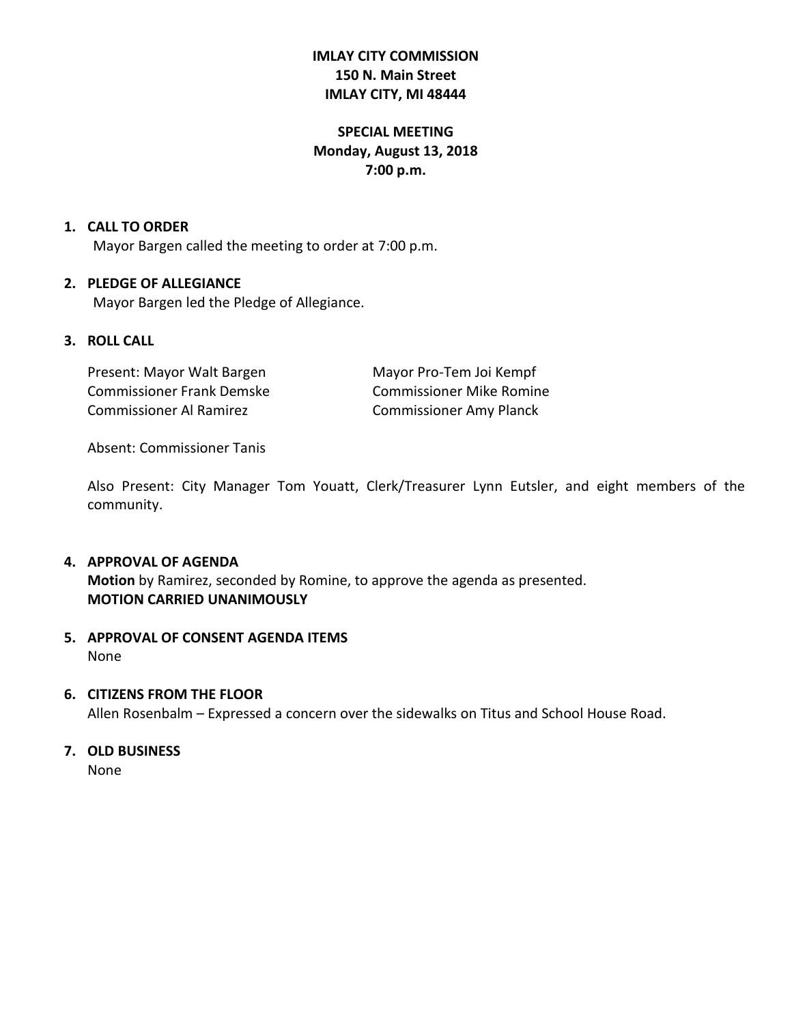# **IMLAY CITY COMMISSION 150 N. Main Street IMLAY CITY, MI 48444**

# **SPECIAL MEETING Monday, August 13, 2018 7:00 p.m.**

## **1. CALL TO ORDER**

Mayor Bargen called the meeting to order at 7:00 p.m.

## **2. PLEDGE OF ALLEGIANCE**

Mayor Bargen led the Pledge of Allegiance.

## **3. ROLL CALL**

Present: Mayor Walt Bargen Mayor Pro-Tem Joi Kempf Commissioner Frank Demske Commissioner Mike Romine Commissioner Al Ramirez Commissioner Amy Planck

Absent: Commissioner Tanis

Also Present: City Manager Tom Youatt, Clerk/Treasurer Lynn Eutsler, and eight members of the community.

#### **4. APPROVAL OF AGENDA**

**Motion** by Ramirez, seconded by Romine, to approve the agenda as presented. **MOTION CARRIED UNANIMOUSLY**

# **5. APPROVAL OF CONSENT AGENDA ITEMS** None

#### **6. CITIZENS FROM THE FLOOR**

Allen Rosenbalm – Expressed a concern over the sidewalks on Titus and School House Road.

# **7. OLD BUSINESS**

None